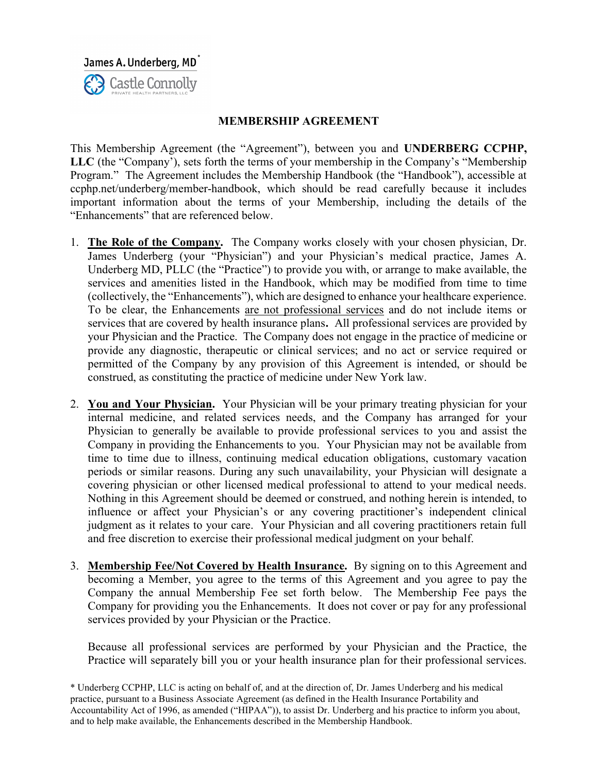James A. Underberg, MD<sup>\*</sup> **3** Castle Connolly

## MEMBERSHIP AGREEMENT

This Membership Agreement (the "Agreement"), between you and UNDERBERG CCPHP, LLC (the "Company'), sets forth the terms of your membership in the Company's "Membership Program." The Agreement includes the Membership Handbook (the "Handbook"), accessible at ccphp.net/underberg/member-handbook, which should be read carefully because it includes important information about the terms of your Membership, including the details of the "Enhancements" that are referenced below.

- 1. The Role of the Company. The Company works closely with your chosen physician, Dr. James Underberg (your "Physician") and your Physician's medical practice, James A. Underberg MD, PLLC (the "Practice") to provide you with, or arrange to make available, the services and amenities listed in the Handbook, which may be modified from time to time (collectively, the "Enhancements"), which are designed to enhance your healthcare experience. To be clear, the Enhancements are not professional services and do not include items or services that are covered by health insurance plans. All professional services are provided by your Physician and the Practice. The Company does not engage in the practice of medicine or provide any diagnostic, therapeutic or clinical services; and no act or service required or permitted of the Company by any provision of this Agreement is intended, or should be construed, as constituting the practice of medicine under New York law.
- 2. You and Your Physician. Your Physician will be your primary treating physician for your internal medicine, and related services needs, and the Company has arranged for your Physician to generally be available to provide professional services to you and assist the Company in providing the Enhancements to you. Your Physician may not be available from time to time due to illness, continuing medical education obligations, customary vacation periods or similar reasons. During any such unavailability, your Physician will designate a covering physician or other licensed medical professional to attend to your medical needs. Nothing in this Agreement should be deemed or construed, and nothing herein is intended, to influence or affect your Physician's or any covering practitioner's independent clinical judgment as it relates to your care. Your Physician and all covering practitioners retain full and free discretion to exercise their professional medical judgment on your behalf.
- 3. Membership Fee/Not Covered by Health Insurance. By signing on to this Agreement and becoming a Member, you agree to the terms of this Agreement and you agree to pay the Company the annual Membership Fee set forth below. The Membership Fee pays the Company for providing you the Enhancements. It does not cover or pay for any professional services provided by your Physician or the Practice.

Because all professional services are performed by your Physician and the Practice, the Practice will separately bill you or your health insurance plan for their professional services.

\* Underberg CCPHP, LLC is acting on behalf of, and at the direction of, Dr. James Underberg and his medical practice, pursuant to a Business Associate Agreement (as defined in the Health Insurance Portability and Accountability Act of 1996, as amended ("HIPAA")), to assist Dr. Underberg and his practice to inform you about, and to help make available, the Enhancements described in the Membership Handbook.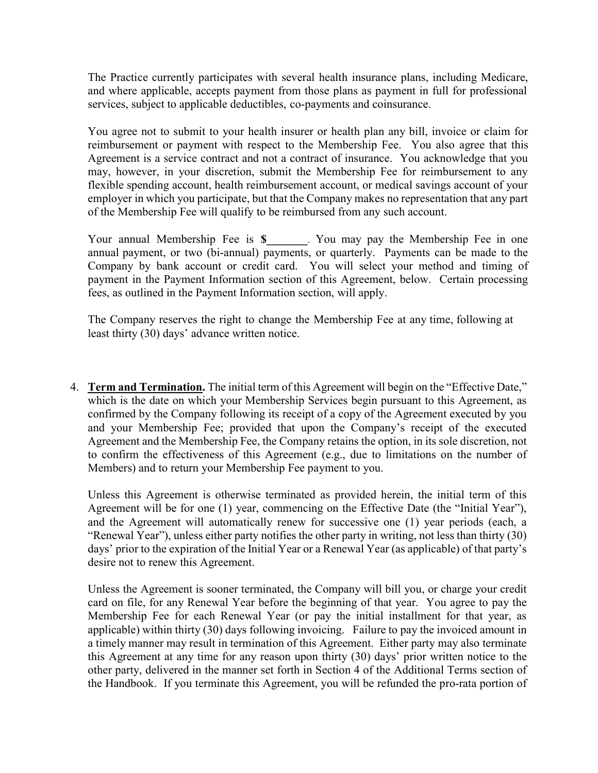The Practice currently participates with several health insurance plans, including Medicare, and where applicable, accepts payment from those plans as payment in full for professional services, subject to applicable deductibles, co-payments and coinsurance.

You agree not to submit to your health insurer or health plan any bill, invoice or claim for reimbursement or payment with respect to the Membership Fee. You also agree that this Agreement is a service contract and not a contract of insurance. You acknowledge that you may, however, in your discretion, submit the Membership Fee for reimbursement to any flexible spending account, health reimbursement account, or medical savings account of your employer in which you participate, but that the Company makes no representation that any part of the Membership Fee will qualify to be reimbursed from any such account.

Your annual Membership Fee is \$\_\_\_\_\_\_. You may pay the Membership Fee in one annual payment, or two (bi-annual) payments, or quarterly. Payments can be made to the Company by bank account or credit card. You will select your method and timing of payment in the Payment Information section of this Agreement, below. Certain processing fees, as outlined in the Payment Information section, will apply.

The Company reserves the right to change the Membership Fee at any time, following at least thirty (30) days' advance written notice.

4. Term and Termination. The initial term of this Agreement will begin on the "Effective Date," which is the date on which your Membership Services begin pursuant to this Agreement, as confirmed by the Company following its receipt of a copy of the Agreement executed by you and your Membership Fee; provided that upon the Company's receipt of the executed Agreement and the Membership Fee, the Company retains the option, in its sole discretion, not to confirm the effectiveness of this Agreement (e.g., due to limitations on the number of Members) and to return your Membership Fee payment to you.

Unless this Agreement is otherwise terminated as provided herein, the initial term of this Agreement will be for one (1) year, commencing on the Effective Date (the "Initial Year"), and the Agreement will automatically renew for successive one (1) year periods (each, a "Renewal Year"), unless either party notifies the other party in writing, not less than thirty (30) days' prior to the expiration of the Initial Year or a Renewal Year (as applicable) of that party's desire not to renew this Agreement.

Unless the Agreement is sooner terminated, the Company will bill you, or charge your credit card on file, for any Renewal Year before the beginning of that year. You agree to pay the Membership Fee for each Renewal Year (or pay the initial installment for that year, as applicable) within thirty (30) days following invoicing. Failure to pay the invoiced amount in a timely manner may result in termination of this Agreement. Either party may also terminate this Agreement at any time for any reason upon thirty (30) days' prior written notice to the other party, delivered in the manner set forth in Section 4 of the Additional Terms section of the Handbook. If you terminate this Agreement, you will be refunded the pro-rata portion of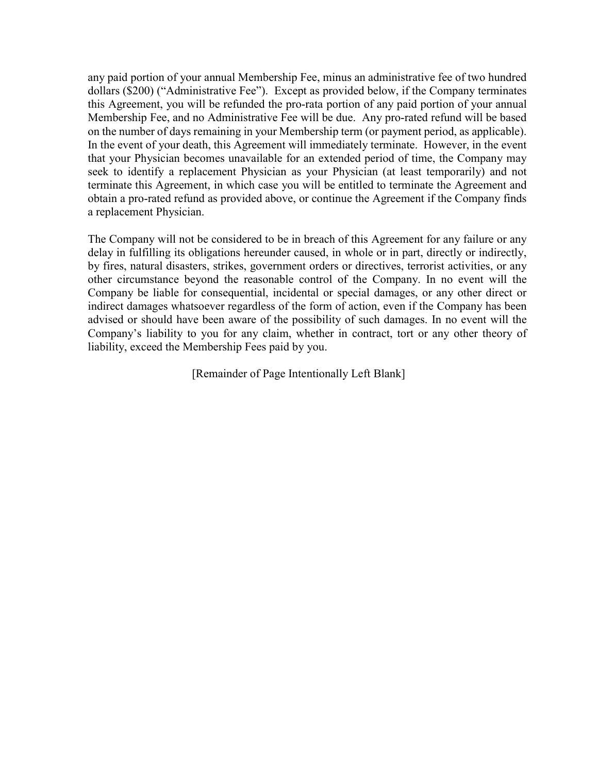any paid portion of your annual Membership Fee, minus an administrative fee of two hundred dollars (\$200) ("Administrative Fee"). Except as provided below, if the Company terminates this Agreement, you will be refunded the pro-rata portion of any paid portion of your annual Membership Fee, and no Administrative Fee will be due. Any pro-rated refund will be based on the number of days remaining in your Membership term (or payment period, as applicable). In the event of your death, this Agreement will immediately terminate. However, in the event that your Physician becomes unavailable for an extended period of time, the Company may seek to identify a replacement Physician as your Physician (at least temporarily) and not terminate this Agreement, in which case you will be entitled to terminate the Agreement and obtain a pro-rated refund as provided above, or continue the Agreement if the Company finds a replacement Physician.

The Company will not be considered to be in breach of this Agreement for any failure or any delay in fulfilling its obligations hereunder caused, in whole or in part, directly or indirectly, by fires, natural disasters, strikes, government orders or directives, terrorist activities, or any other circumstance beyond the reasonable control of the Company. In no event will the Company be liable for consequential, incidental or special damages, or any other direct or indirect damages whatsoever regardless of the form of action, even if the Company has been advised or should have been aware of the possibility of such damages. In no event will the Company's liability to you for any claim, whether in contract, tort or any other theory of liability, exceed the Membership Fees paid by you.

[Remainder of Page Intentionally Left Blank]